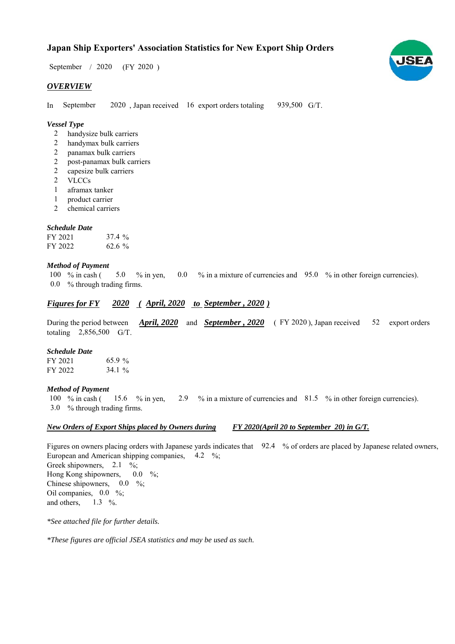## **Japan Ship Exporters' Association Statistics for New Export Ship Orders**

 $/ 2020$  (FY 2020) September / 2020

### *OVERVIEW*

In September 2020, Japan received 16 export orders totaling 939,500 G/T. September

#### *Vessel Type*

- handysize bulk carriers 2
- handymax bulk carriers 2
- panamax bulk carriers 2
- post-panamax bulk carriers 2
- capesize bulk carriers 2
- VLCCs 2
- aframax tanker 1
- product carrier 1
- chemical carriers 2

#### *Schedule Date*

| FY 2021 | 37.4%    |
|---------|----------|
| FY 2022 | $62.6\%$ |

#### *Method of Payment*

% in cash ( $\frac{5.0}{8}$  % in yen,  $\frac{0.0}{8}$  % in a mixture of currencies and  $\frac{95.0}{8}$  % in other foreign currencies). % through trading firms. 0.0 100 % in cash (

#### *Figures for FY* 2020 (April, 2020 to September, 2020)

During the period between *April, 2020* and *September, 2020* (FY 2020), Japan received 52 export orders totaling  $2,856,500$  G/T. 52 export orders

#### *Schedule Date*

| FY 2021 | 65.9%     |
|---------|-----------|
| FY 2022 | 34.1 $\%$ |

#### *Method of Payment*

% in cash ( $15.6$  % in yen,  $2.9$  % in a mixture of currencies and  $81.5$  % in other foreign currencies). % through trading firms. 3.0 100  $%$  in cash ( 15.6  $%$  in yen,

#### *New Orders of Export Ships placed by Owners during FY 2020(April 20 to September 20) in G/T.*

Figures on owners placing orders with Japanese yards indicates that 92.4 % of orders are placed by Japanese related owners, European and American shipping companies, 4.2 %; Greek shipowners,  $2.1 \%$ ; Hong Kong shipowners, Chinese shipowners,  $0.0\%$ ; Oil companies,  $0.0\%$ ; and others, 1.3  $\%$ .  $0.0\%$ 

*\*See attached file for further details.*

*\*These figures are official JSEA statistics and may be used as such.*

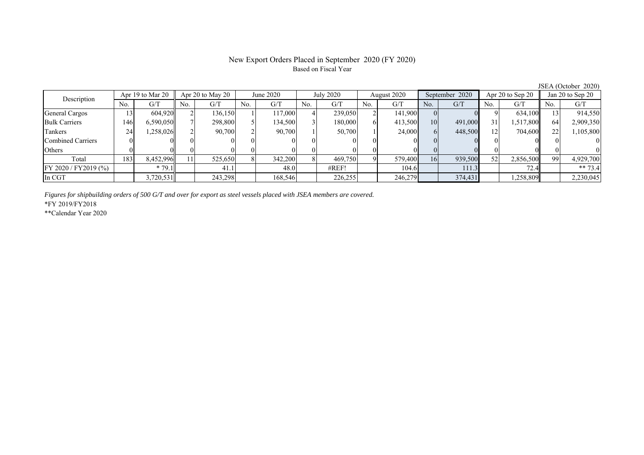#### New Export Orders Placed in September 2020 (FY 2020) Based on Fiscal Year

No. G/T No. G/T No. G/T No. G/T No. G/T No. G/T No. G/T No. G/T General Cargos ( 13 604,920 2 136,150 1 117,000 4 239,050 2 141,900 0 0 9 634,100 13 914,550 Bulk Carriers | 146 6,590,050 7 298,800 5 134,500 3 180,000 6 413,500 10 491,000 31 1,517,800 64 2,909,350 Tankers | 24| 1,258,026|| 2| 90,700| 2| 90,700| 1| 50,700| 1| 24,000| 6| 448,500| 12| 704,600|| 22| 1,105,800 Combined Carriers 0 0 0 0 0 0 0 0 0 0 0 0 0 0 0 0 Others 0 0 0 0 0 0 0 0 0 0 0 0 0 0 0 0 Total | 183 8,452,996 11 525,650 8 342,200 8 469,750 9 579,400 16 939,500 52 2,856,500 99 4,929,700 FY 2020 / FY 2019 (%) \* 79.1 41.1 48.0 #REF! 104.6 111.3 72.4 \*\* 73.4 In CGT | | 3,720,531 | | 243,298 | | 168,546 | | 226,255 | | 246,279 | | 374,431 | | 1,258,809 | | 2,230,045 Description Apr 19 to Mar 20 Apr 20 to May 20 June 2020 July 2020<br>No. 1 G/T No. 1 G/T No. 1 G/T No. 1 G/T August 2020 September 2020 Apr 20 to Sep 20 Jan 20 to Sep 20

*Figures for shipbuilding orders of 500 G/T and over for export as steel vessels placed with JSEA members are covered.*

\*FY 2019/FY2018

\*\*Calendar Year 2020

JSEA (October 2020)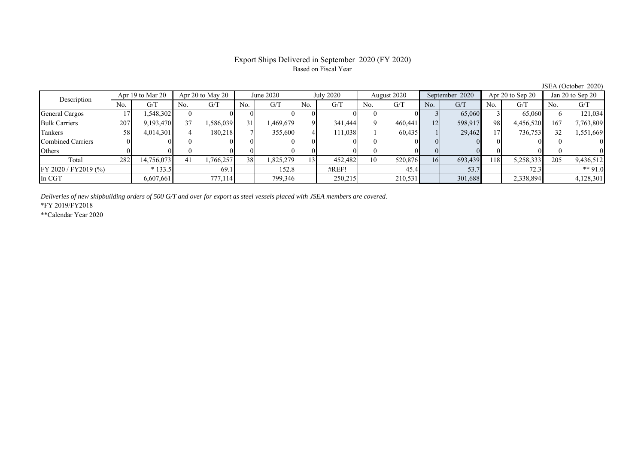#### Export Ships Delivered in September 2020 (FY 2020) Based on Fiscal Year

No. G/T No. G/T No. G/T No. G/T No. G/T No. G/T No. G/T No. G/T General Cargos | 17| 1,548,302|| 0| 0| 0| 0| 0| 0| 0| 0| 0| 0| 3| 65,060| 3| 65,060|| 6| 121,034 Bulk Carriers 207 9,193,470 37 1,586,039 31 1,469,679 9 341,444 9 460,441 12 598,917 98 4,456,520 167 7,763,809 Tankers | 58| 4,014,301|| 4| 180,218| 7| 355,600| 4| 111,038| 1| 60,435| 1| 29,462| 17| 736,753|| 32| 1,551,669 Combined Carriers 0 0 0 0 0 0 0 0 0 0 0 0 0 0 0 0 Others 0 0 0 0 0 0 0 0 0 0 0 0 0 0 0 0 Total | 282 14,756,073|| 41 1,766,257 38 1,825,279 13 452,482 10 520,876 16 693,439 118 5,258,333|| 205 9,436,512 FY 2020 / FY2019 (%) \* 133.5 69.1 152.8 #REF! 45.4 53.7 72.3 \*\* 91.0 In CGT | | 6,607,661|| | 777,114| | 799,346| | 250,215| | 210,531| | 301,688| | 2,338,894|| | 4,128,301 Description Apr 19 to Mar 20 Apr 20 to May 20 July 2020 July 2020 August 2020 September 2020 Apr 20 to Sep 20 Jan 20 to Sep 20 August 2020 September 2020 Apr 20 to Sep 20

*Deliveries of new shipbuilding orders of 500 G/T and over for export as steel vessels placed with JSEA members are covered.*

\*FY 2019/FY2018

\*\*Calendar Year 2020

JSEA (October 2020)